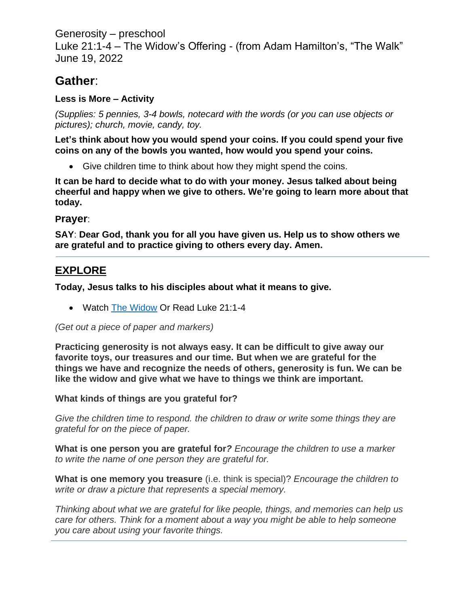Generosity – preschool

Luke 21:1-4 – The Widow's Offering - (from Adam Hamilton's, "The Walk" June 19, 2022

# **Gather**:

### **Less is More – Activity**

*(Supplies: 5 pennies, 3-4 bowls, notecard with the words (or you can use objects or pictures); church, movie, candy, toy.* 

**Let's think about how you would spend your coins. If you could spend your five coins on any of the bowls you wanted, how would you spend your coins.** 

• Give children time to think about how they might spend the coins.

**It can be hard to decide what to do with your money. Jesus talked about being cheerful and happy when we give to others. We're going to learn more about that today.** 

### **Prayer**:

**SAY**: **Dear God, thank you for all you have given us. Help us to show others we are grateful and to practice giving to others every day. Amen.**

## **EXPLORE**

**Today, Jesus talks to his disciples about what it means to give.** 

• Watch [The Widow](https://www.youtube.com/watch?v=3lC-E6dLvMs&t=19s) Or Read Luke 21:1-4

### *(Get out a piece of paper and markers)*

**Practicing generosity is not always easy. It can be difficult to give away our favorite toys, our treasures and our time. But when we are grateful for the things we have and recognize the needs of others, generosity is fun. We can be like the widow and give what we have to things we think are important.**

### **What kinds of things are you grateful for?**

*Give the children time to respond. the children to draw or write some things they are grateful for on the piece of paper.* 

**What is one person you are grateful for***? Encourage the children to use a marker to write the name of one person they are grateful for.*

**What is one memory you treasure** (i.e. think is special)? *Encourage the children to write or draw a picture that represents a special memory.*

*Thinking about what we are grateful for like people, things, and memories can help us care for others. Think for a moment about a way you might be able to help someone you care about using your favorite things.*